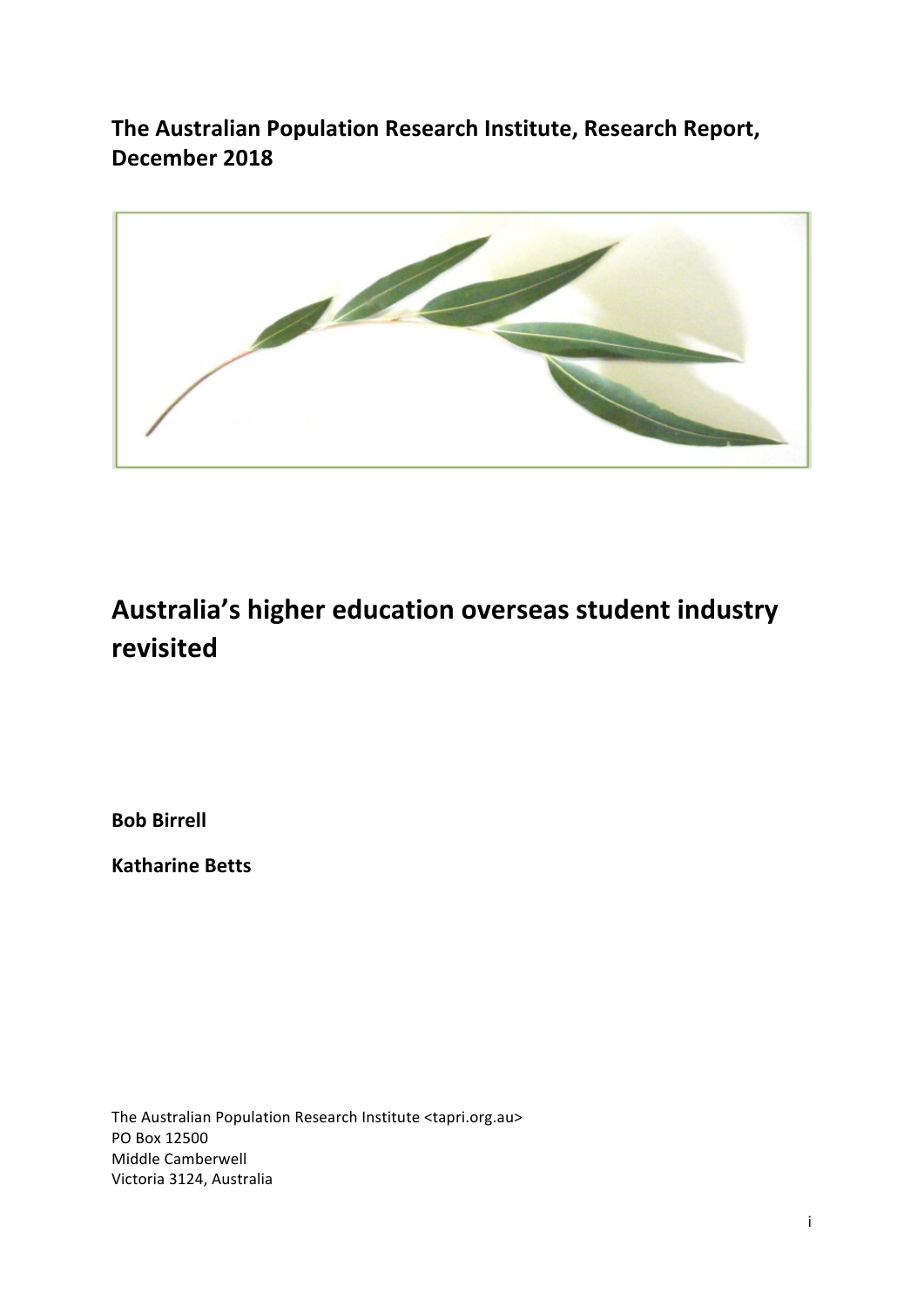**The Australian Population Research Institute, Research Report, December 2018**



# Australia's higher education overseas student industry **revisited**

**Bob Birrell**

**Katharine Betts**

The Australian Population Research Institute <tapri.org.au> PO Box 12500 Middle Camberwell Victoria 3124, Australia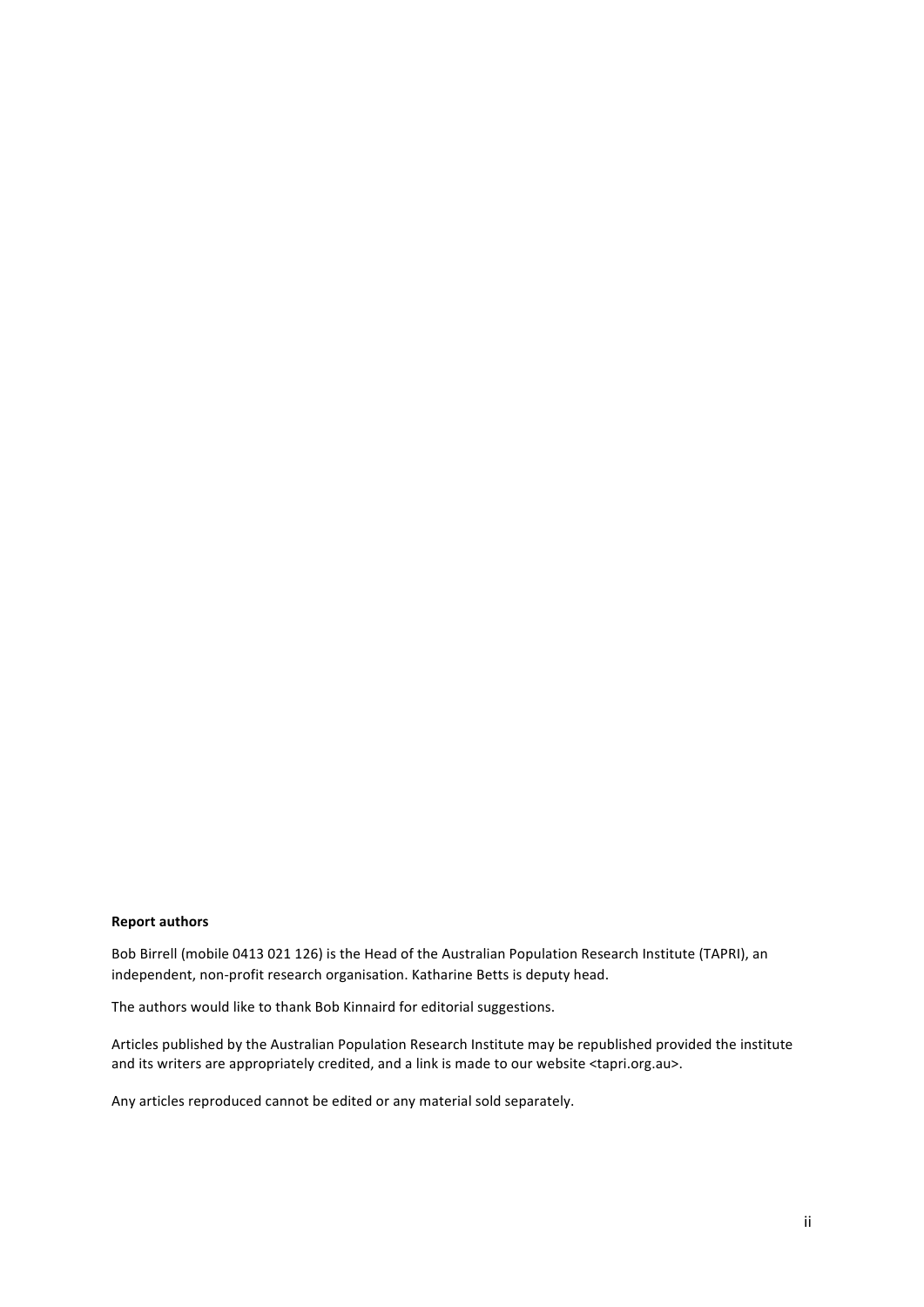### **Report authors**

Bob Birrell (mobile 0413 021 126) is the Head of the Australian Population Research Institute (TAPRI), an independent, non-profit research organisation. Katharine Betts is deputy head.

The authors would like to thank Bob Kinnaird for editorial suggestions.

Articles published by the Australian Population Research Institute may be republished provided the institute and its writers are appropriately credited, and a link is made to our website <tapri.org.au>.

Any articles reproduced cannot be edited or any material sold separately.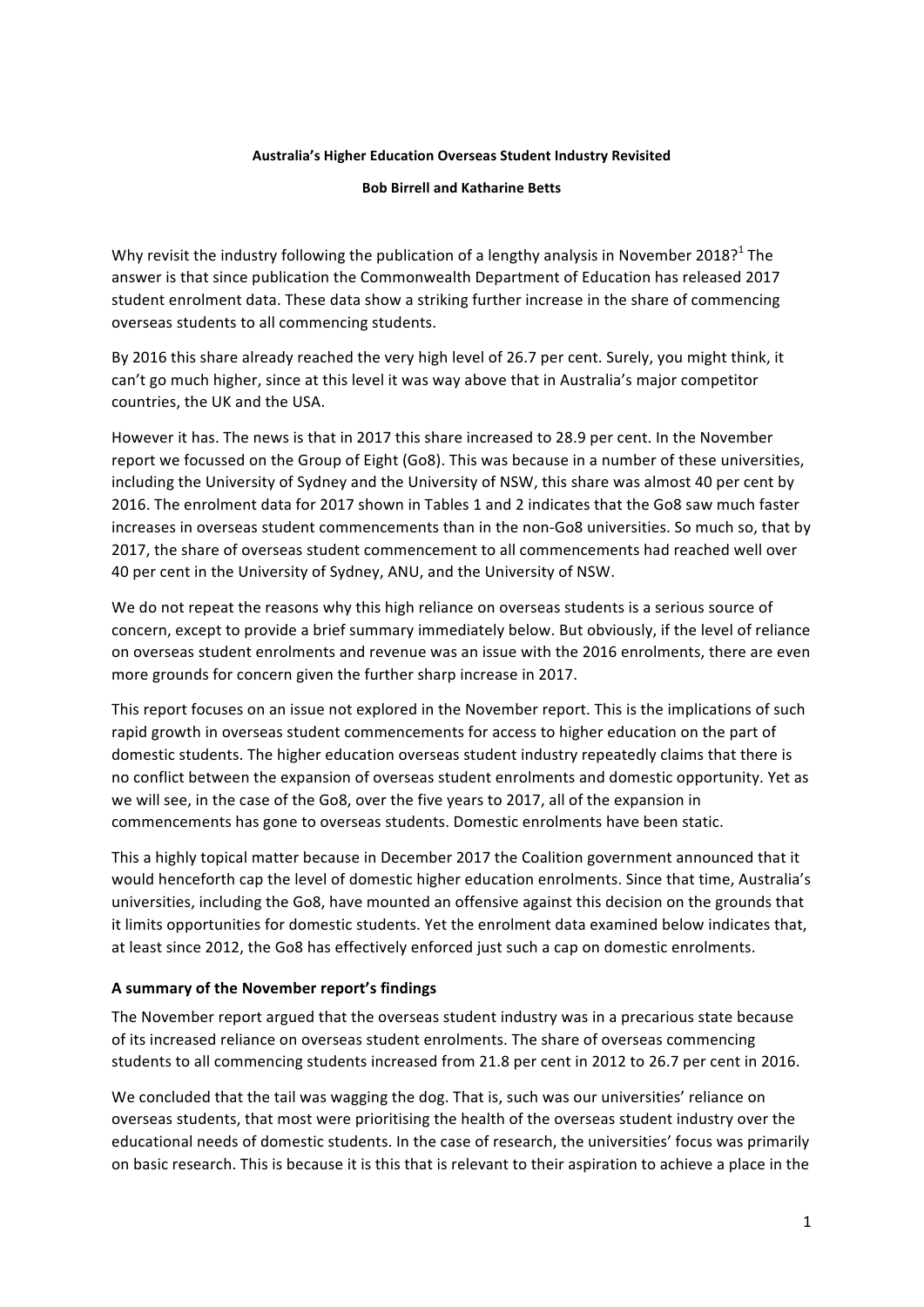## **Australia's Higher Education Overseas Student Industry Revisited**

### **Bob Birrell and Katharine Betts**

Why revisit the industry following the publication of a lengthy analysis in November 2018?<sup>1</sup> The answer is that since publication the Commonwealth Department of Education has released 2017 student enrolment data. These data show a striking further increase in the share of commencing overseas students to all commencing students.

By 2016 this share already reached the very high level of 26.7 per cent. Surely, you might think, it can't go much higher, since at this level it was way above that in Australia's major competitor countries, the UK and the USA.

However it has. The news is that in 2017 this share increased to 28.9 per cent. In the November report we focussed on the Group of Eight (Go8). This was because in a number of these universities, including the University of Sydney and the University of NSW, this share was almost 40 per cent by 2016. The enrolment data for 2017 shown in Tables 1 and 2 indicates that the Go8 saw much faster increases in overseas student commencements than in the non-Go8 universities. So much so, that by 2017, the share of overseas student commencement to all commencements had reached well over 40 per cent in the University of Sydney, ANU, and the University of NSW.

We do not repeat the reasons why this high reliance on overseas students is a serious source of concern, except to provide a brief summary immediately below. But obviously, if the level of reliance on overseas student enrolments and revenue was an issue with the 2016 enrolments, there are even more grounds for concern given the further sharp increase in 2017.

This report focuses on an issue not explored in the November report. This is the implications of such rapid growth in overseas student commencements for access to higher education on the part of domestic students. The higher education overseas student industry repeatedly claims that there is no conflict between the expansion of overseas student enrolments and domestic opportunity. Yet as we will see, in the case of the Go8, over the five years to 2017, all of the expansion in commencements has gone to overseas students. Domestic enrolments have been static.

This a highly topical matter because in December 2017 the Coalition government announced that it would henceforth cap the level of domestic higher education enrolments. Since that time, Australia's universities, including the Go8, have mounted an offensive against this decision on the grounds that it limits opportunities for domestic students. Yet the enrolment data examined below indicates that, at least since 2012, the Go8 has effectively enforced just such a cap on domestic enrolments.

## **A summary of the November report's findings**

The November report argued that the overseas student industry was in a precarious state because of its increased reliance on overseas student enrolments. The share of overseas commencing students to all commencing students increased from 21.8 per cent in 2012 to 26.7 per cent in 2016.

We concluded that the tail was wagging the dog. That is, such was our universities' reliance on overseas students, that most were prioritising the health of the overseas student industry over the educational needs of domestic students. In the case of research, the universities' focus was primarily on basic research. This is because it is this that is relevant to their aspiration to achieve a place in the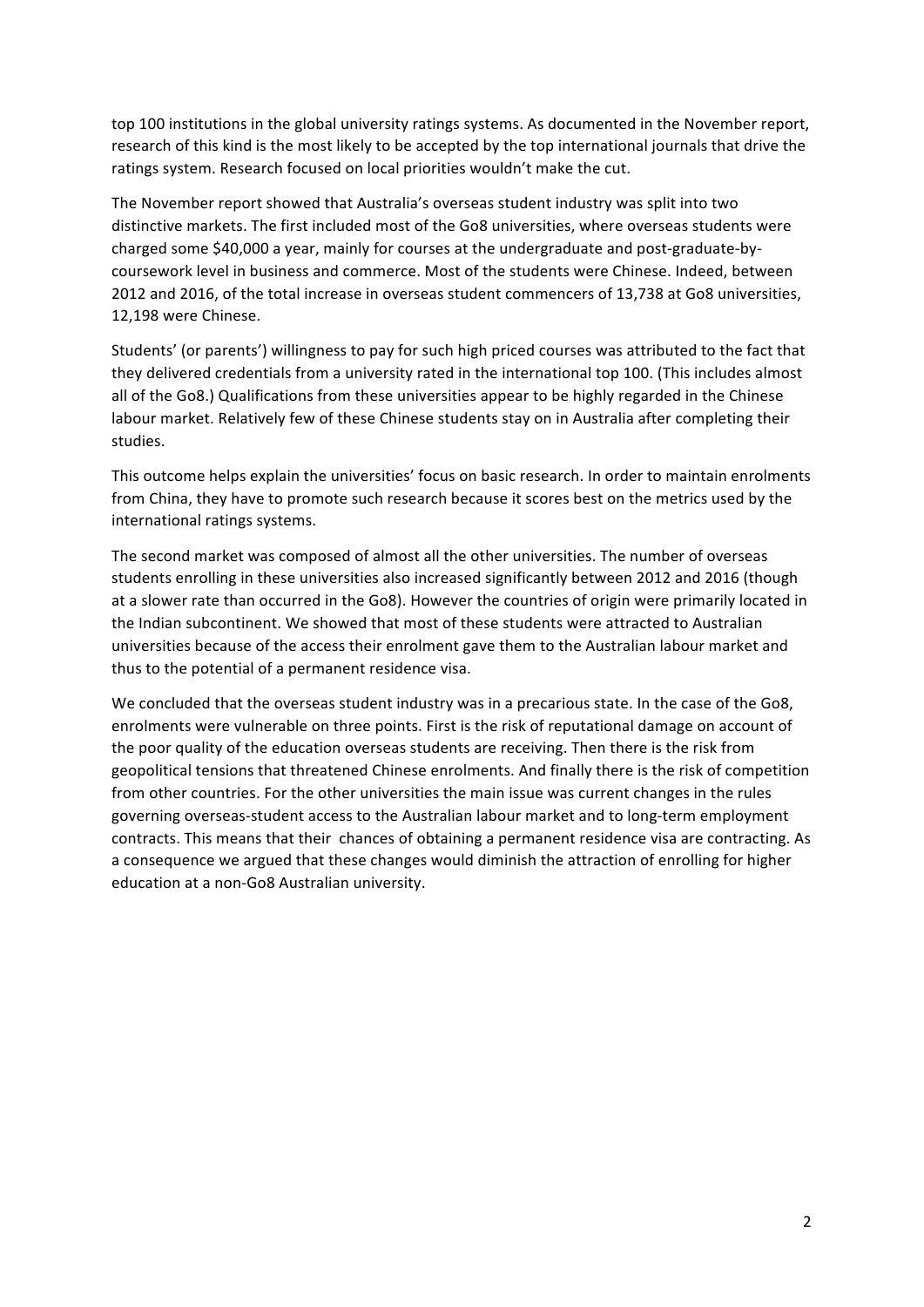top 100 institutions in the global university ratings systems. As documented in the November report, research of this kind is the most likely to be accepted by the top international journals that drive the ratings system. Research focused on local priorities wouldn't make the cut.

The November report showed that Australia's overseas student industry was split into two distinctive markets. The first included most of the Go8 universities, where overseas students were charged some \$40,000 a year, mainly for courses at the undergraduate and post-graduate-bycoursework level in business and commerce. Most of the students were Chinese. Indeed, between 2012 and 2016, of the total increase in overseas student commencers of 13,738 at Go8 universities, 12,198 were Chinese.

Students' (or parents') willingness to pay for such high priced courses was attributed to the fact that they delivered credentials from a university rated in the international top 100. (This includes almost all of the Go8.) Qualifications from these universities appear to be highly regarded in the Chinese labour market. Relatively few of these Chinese students stay on in Australia after completing their studies.

This outcome helps explain the universities' focus on basic research. In order to maintain enrolments from China, they have to promote such research because it scores best on the metrics used by the international ratings systems.

The second market was composed of almost all the other universities. The number of overseas students enrolling in these universities also increased significantly between 2012 and 2016 (though at a slower rate than occurred in the Go8). However the countries of origin were primarily located in the Indian subcontinent. We showed that most of these students were attracted to Australian universities because of the access their enrolment gave them to the Australian labour market and thus to the potential of a permanent residence visa.

We concluded that the overseas student industry was in a precarious state. In the case of the Go8, enrolments were vulnerable on three points. First is the risk of reputational damage on account of the poor quality of the education overseas students are receiving. Then there is the risk from geopolitical tensions that threatened Chinese enrolments. And finally there is the risk of competition from other countries. For the other universities the main issue was current changes in the rules governing overseas-student access to the Australian labour market and to long-term employment contracts. This means that their chances of obtaining a permanent residence visa are contracting. As a consequence we argued that these changes would diminish the attraction of enrolling for higher education at a non-Go8 Australian university.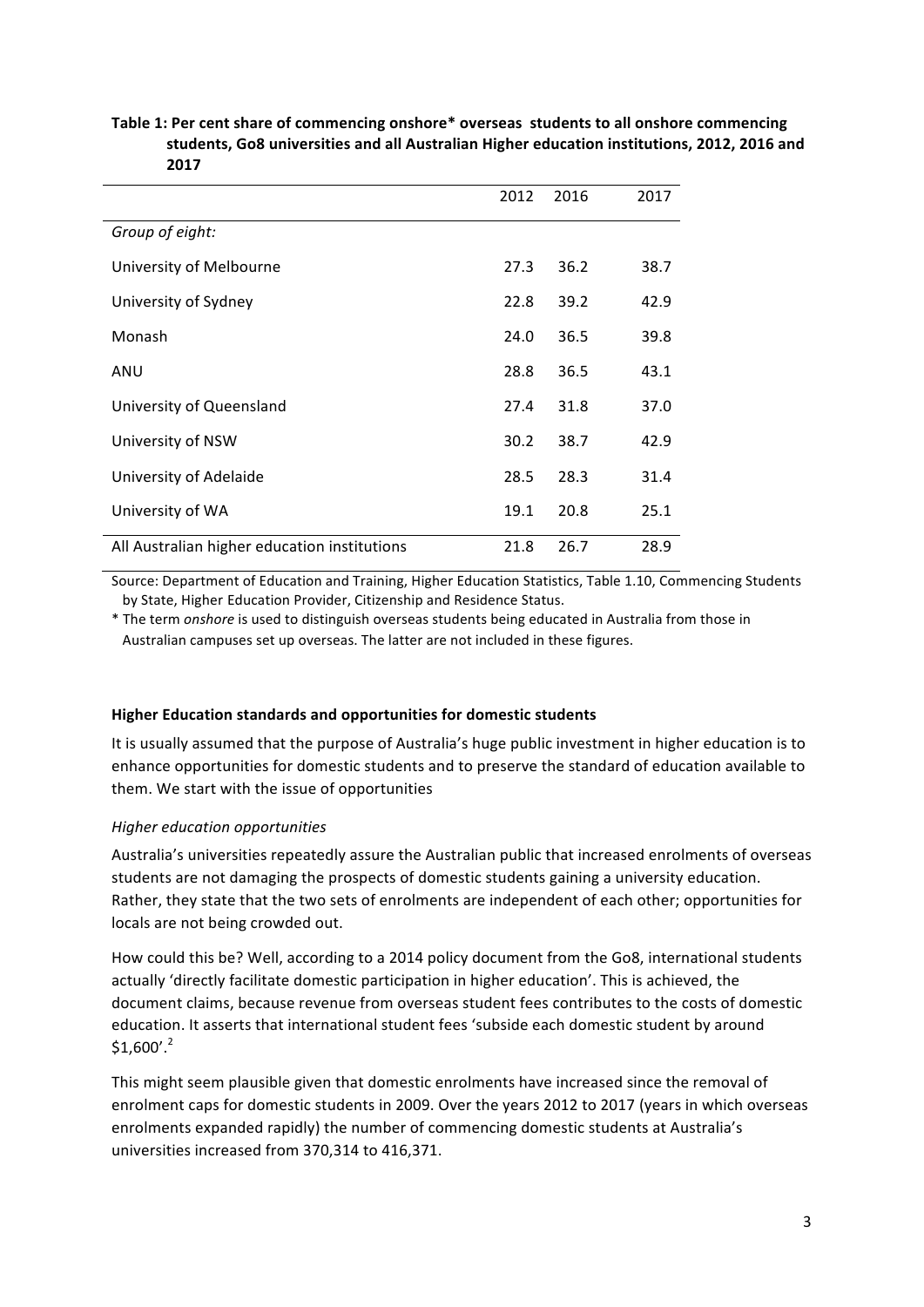## Table 1: Per cent share of commencing onshore\* overseas students to all onshore commencing students, Go8 universities and all Australian Higher education institutions, 2012, 2016 and **2017**

|                                              | 2012 | 2016 | 2017 |
|----------------------------------------------|------|------|------|
| Group of eight:                              |      |      |      |
| University of Melbourne                      | 27.3 | 36.2 | 38.7 |
| University of Sydney                         | 22.8 | 39.2 | 42.9 |
| Monash                                       | 24.0 | 36.5 | 39.8 |
| ANU                                          | 28.8 | 36.5 | 43.1 |
| University of Queensland                     | 27.4 | 31.8 | 37.0 |
| University of NSW                            | 30.2 | 38.7 | 42.9 |
| University of Adelaide                       | 28.5 | 28.3 | 31.4 |
| University of WA                             | 19.1 | 20.8 | 25.1 |
| All Australian higher education institutions | 21.8 | 26.7 | 28.9 |

Source: Department of Education and Training, Higher Education Statistics, Table 1.10, Commencing Students by State, Higher Education Provider, Citizenship and Residence Status.

\* The term *onshore* is used to distinguish overseas students being educated in Australia from those in Australian campuses set up overseas. The latter are not included in these figures.

# **Higher Education standards and opportunities for domestic students**

It is usually assumed that the purpose of Australia's huge public investment in higher education is to enhance opportunities for domestic students and to preserve the standard of education available to them. We start with the issue of opportunities

# *Higher education opportunities*

Australia's universities repeatedly assure the Australian public that increased enrolments of overseas students are not damaging the prospects of domestic students gaining a university education. Rather, they state that the two sets of enrolments are independent of each other; opportunities for locals are not being crowded out.

How could this be? Well, according to a 2014 policy document from the Go8, international students actually 'directly facilitate domestic participation in higher education'. This is achieved, the document claims, because revenue from overseas student fees contributes to the costs of domestic education. It asserts that international student fees 'subside each domestic student by around  $$1,600'.^2$ 

This might seem plausible given that domestic enrolments have increased since the removal of enrolment caps for domestic students in 2009. Over the years 2012 to 2017 (years in which overseas enrolments expanded rapidly) the number of commencing domestic students at Australia's universities increased from 370,314 to 416,371.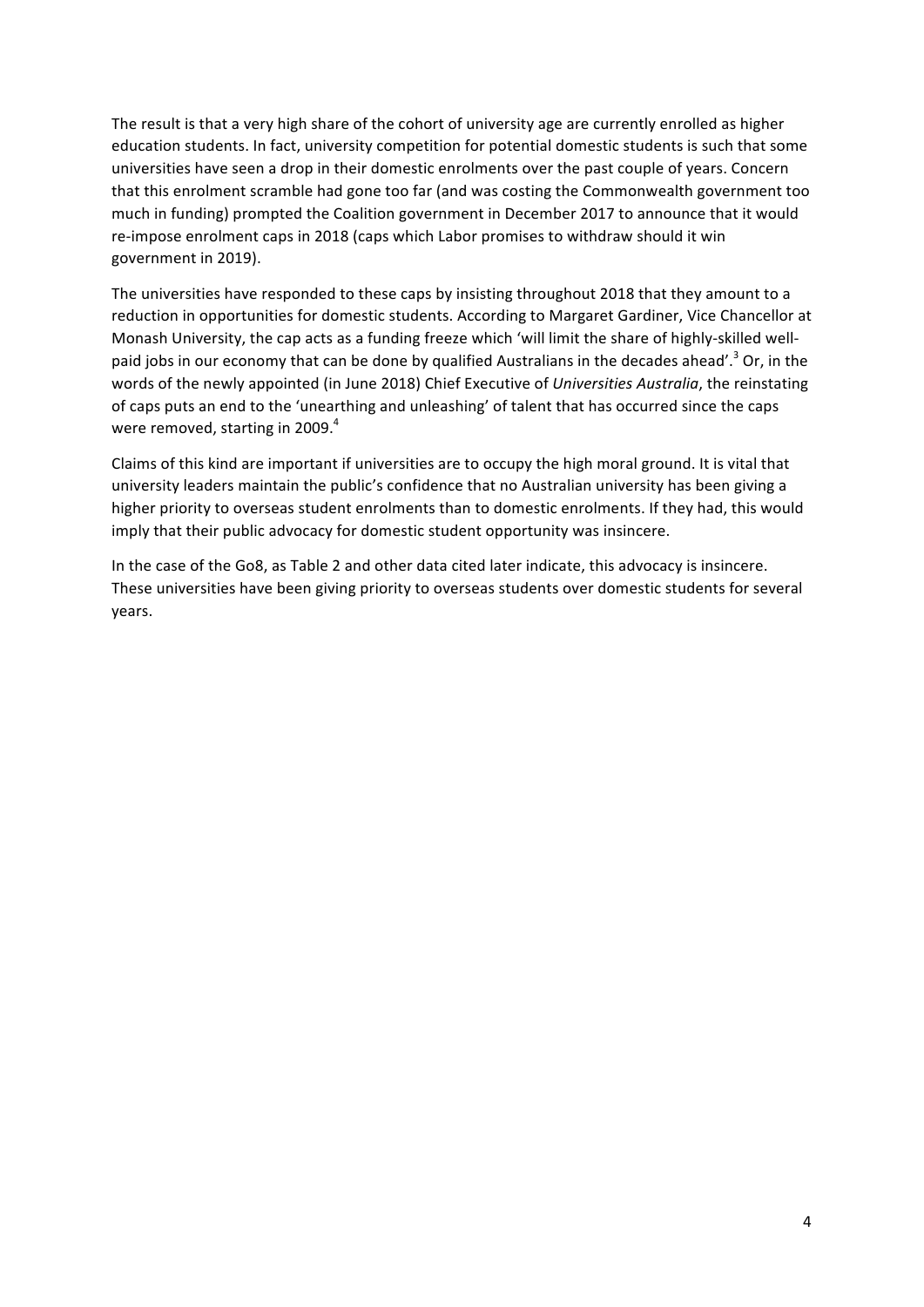The result is that a very high share of the cohort of university age are currently enrolled as higher education students. In fact, university competition for potential domestic students is such that some universities have seen a drop in their domestic enrolments over the past couple of years. Concern that this enrolment scramble had gone too far (and was costing the Commonwealth government too much in funding) prompted the Coalition government in December 2017 to announce that it would re-impose enrolment caps in 2018 (caps which Labor promises to withdraw should it win government in 2019).

The universities have responded to these caps by insisting throughout 2018 that they amount to a reduction in opportunities for domestic students. According to Margaret Gardiner, Vice Chancellor at Monash University, the cap acts as a funding freeze which 'will limit the share of highly-skilled wellpaid jobs in our economy that can be done by qualified Australians in the decades ahead'.<sup>3</sup> Or, in the words of the newly appointed (in June 2018) Chief Executive of *Universities Australia*, the reinstating of caps puts an end to the 'unearthing and unleashing' of talent that has occurred since the caps were removed, starting in 2009. $4$ 

Claims of this kind are important if universities are to occupy the high moral ground. It is vital that university leaders maintain the public's confidence that no Australian university has been giving a higher priority to overseas student enrolments than to domestic enrolments. If they had, this would imply that their public advocacy for domestic student opportunity was insincere.

In the case of the Go8, as Table 2 and other data cited later indicate, this advocacy is insincere. These universities have been giving priority to overseas students over domestic students for several years.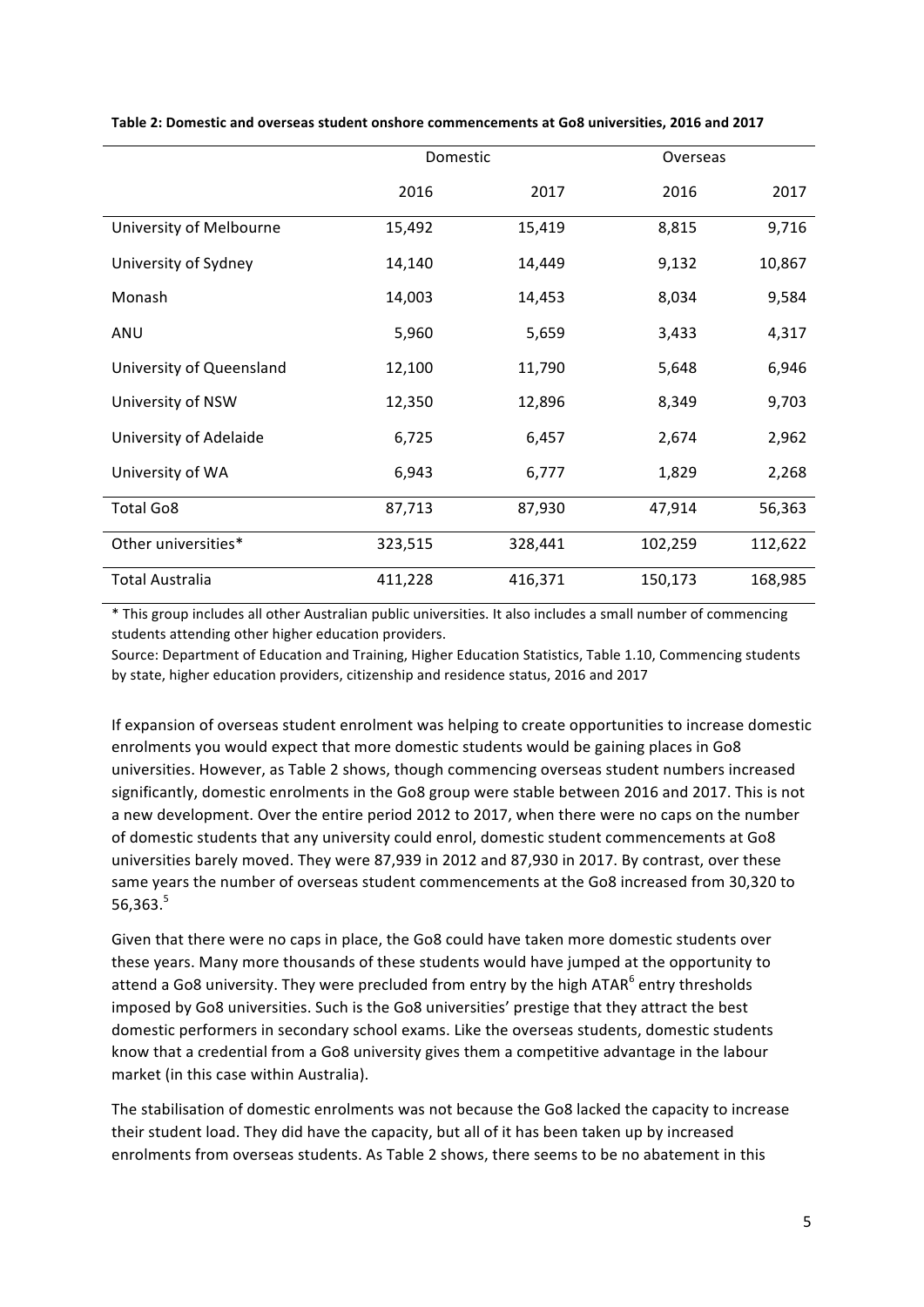|                          | Domestic |         | Overseas |         |
|--------------------------|----------|---------|----------|---------|
|                          | 2016     | 2017    | 2016     | 2017    |
| University of Melbourne  | 15,492   | 15,419  | 8,815    | 9,716   |
| University of Sydney     | 14,140   | 14,449  | 9,132    | 10,867  |
| Monash                   | 14,003   | 14,453  | 8,034    | 9,584   |
| ANU                      | 5,960    | 5,659   | 3,433    | 4,317   |
| University of Queensland | 12,100   | 11,790  | 5,648    | 6,946   |
| University of NSW        | 12,350   | 12,896  | 8,349    | 9,703   |
| University of Adelaide   | 6,725    | 6,457   | 2,674    | 2,962   |
| University of WA         | 6,943    | 6,777   | 1,829    | 2,268   |
| <b>Total Go8</b>         | 87,713   | 87,930  | 47,914   | 56,363  |
| Other universities*      | 323,515  | 328,441 | 102,259  | 112,622 |
| Total Australia          | 411,228  | 416,371 | 150,173  | 168,985 |

Table 2: Domestic and overseas student onshore commencements at Go8 universities, 2016 and 2017

\* This group includes all other Australian public universities. It also includes a small number of commencing students attending other higher education providers.

Source: Department of Education and Training, Higher Education Statistics, Table 1.10, Commencing students by state, higher education providers, citizenship and residence status, 2016 and 2017

If expansion of overseas student enrolment was helping to create opportunities to increase domestic enrolments you would expect that more domestic students would be gaining places in Go8 universities. However, as Table 2 shows, though commencing overseas student numbers increased significantly, domestic enrolments in the Go8 group were stable between 2016 and 2017. This is not a new development. Over the entire period 2012 to 2017, when there were no caps on the number of domestic students that any university could enrol, domestic student commencements at Go8 universities barely moved. They were 87,939 in 2012 and 87,930 in 2017. By contrast, over these same years the number of overseas student commencements at the Go8 increased from 30,320 to 56,363.<sup>5</sup>

Given that there were no caps in place, the Go8 could have taken more domestic students over these years. Many more thousands of these students would have jumped at the opportunity to attend a Go8 university. They were precluded from entry by the high ATAR<sup>6</sup> entry thresholds imposed by Go8 universities. Such is the Go8 universities' prestige that they attract the best domestic performers in secondary school exams. Like the overseas students, domestic students know that a credential from a Go8 university gives them a competitive advantage in the labour market (in this case within Australia).

The stabilisation of domestic enrolments was not because the Go8 lacked the capacity to increase their student load. They did have the capacity, but all of it has been taken up by increased enrolments from overseas students. As Table 2 shows, there seems to be no abatement in this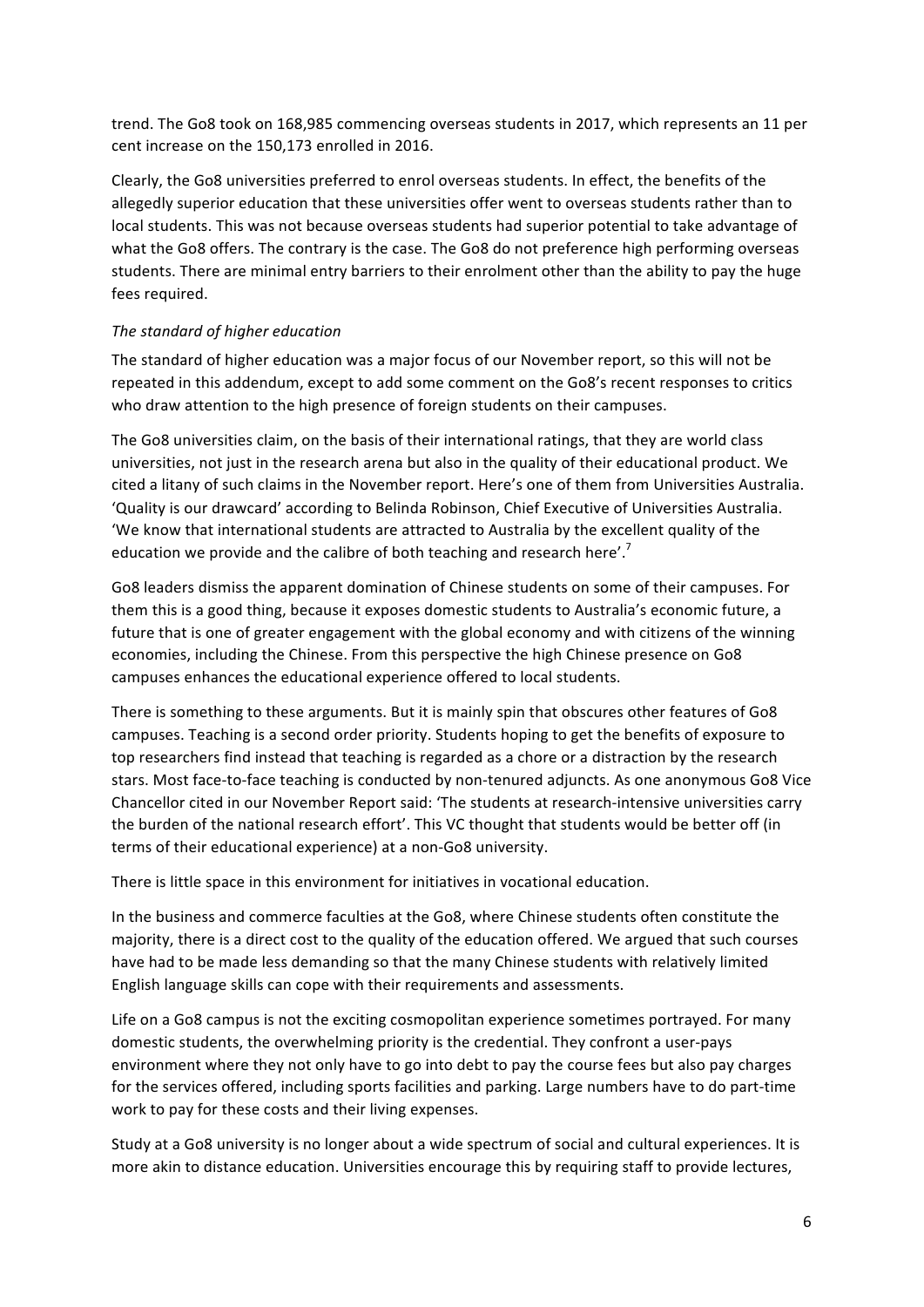trend. The Go8 took on 168,985 commencing overseas students in 2017, which represents an 11 per cent increase on the 150,173 enrolled in 2016.

Clearly, the Go8 universities preferred to enrol overseas students. In effect, the benefits of the allegedly superior education that these universities offer went to overseas students rather than to local students. This was not because overseas students had superior potential to take advantage of what the Go8 offers. The contrary is the case. The Go8 do not preference high performing overseas students. There are minimal entry barriers to their enrolment other than the ability to pay the huge fees required.

## *The standard of higher education*

The standard of higher education was a major focus of our November report, so this will not be repeated in this addendum, except to add some comment on the Go8's recent responses to critics who draw attention to the high presence of foreign students on their campuses.

The Go8 universities claim, on the basis of their international ratings, that they are world class universities, not just in the research arena but also in the quality of their educational product. We cited a litany of such claims in the November report. Here's one of them from Universities Australia. 'Quality is our drawcard' according to Belinda Robinson, Chief Executive of Universities Australia. 'We know that international students are attracted to Australia by the excellent quality of the education we provide and the calibre of both teaching and research here'.<sup>7</sup>

Go8 leaders dismiss the apparent domination of Chinese students on some of their campuses. For them this is a good thing, because it exposes domestic students to Australia's economic future, a future that is one of greater engagement with the global economy and with citizens of the winning economies, including the Chinese. From this perspective the high Chinese presence on Go8 campuses enhances the educational experience offered to local students.

There is something to these arguments. But it is mainly spin that obscures other features of Go8 campuses. Teaching is a second order priority. Students hoping to get the benefits of exposure to top researchers find instead that teaching is regarded as a chore or a distraction by the research stars. Most face-to-face teaching is conducted by non-tenured adjuncts. As one anonymous Go8 Vice Chancellor cited in our November Report said: 'The students at research-intensive universities carry the burden of the national research effort'. This VC thought that students would be better off (in terms of their educational experience) at a non-Go8 university.

There is little space in this environment for initiatives in vocational education.

In the business and commerce faculties at the Go8, where Chinese students often constitute the majority, there is a direct cost to the quality of the education offered. We argued that such courses have had to be made less demanding so that the many Chinese students with relatively limited English language skills can cope with their requirements and assessments.

Life on a Go8 campus is not the exciting cosmopolitan experience sometimes portrayed. For many domestic students, the overwhelming priority is the credential. They confront a user-pays environment where they not only have to go into debt to pay the course fees but also pay charges for the services offered, including sports facilities and parking. Large numbers have to do part-time work to pay for these costs and their living expenses.

Study at a Go8 university is no longer about a wide spectrum of social and cultural experiences. It is more akin to distance education. Universities encourage this by requiring staff to provide lectures,